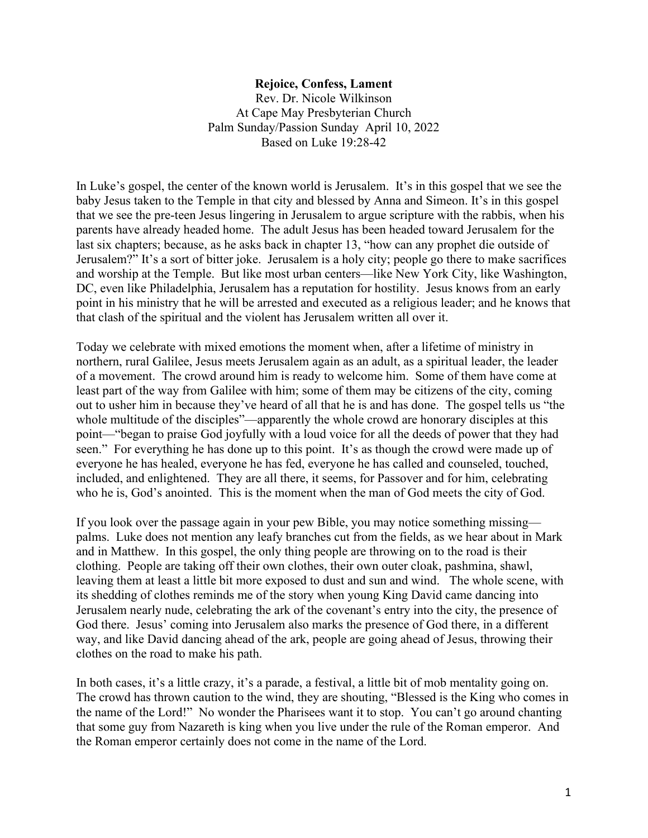## **Rejoice, Confess, Lament**

Rev. Dr. Nicole Wilkinson At Cape May Presbyterian Church Palm Sunday/Passion Sunday April 10, 2022 Based on Luke 19:28-42

In Luke's gospel, the center of the known world is Jerusalem. It's in this gospel that we see the baby Jesus taken to the Temple in that city and blessed by Anna and Simeon. It's in this gospel that we see the pre-teen Jesus lingering in Jerusalem to argue scripture with the rabbis, when his parents have already headed home. The adult Jesus has been headed toward Jerusalem for the last six chapters; because, as he asks back in chapter 13, "how can any prophet die outside of Jerusalem?" It's a sort of bitter joke. Jerusalem is a holy city; people go there to make sacrifices and worship at the Temple. But like most urban centers—like New York City, like Washington, DC, even like Philadelphia, Jerusalem has a reputation for hostility. Jesus knows from an early point in his ministry that he will be arrested and executed as a religious leader; and he knows that that clash of the spiritual and the violent has Jerusalem written all over it.

Today we celebrate with mixed emotions the moment when, after a lifetime of ministry in northern, rural Galilee, Jesus meets Jerusalem again as an adult, as a spiritual leader, the leader of a movement. The crowd around him is ready to welcome him. Some of them have come at least part of the way from Galilee with him; some of them may be citizens of the city, coming out to usher him in because they've heard of all that he is and has done. The gospel tells us "the whole multitude of the disciples"—apparently the whole crowd are honorary disciples at this point—"began to praise God joyfully with a loud voice for all the deeds of power that they had seen." For everything he has done up to this point. It's as though the crowd were made up of everyone he has healed, everyone he has fed, everyone he has called and counseled, touched, included, and enlightened. They are all there, it seems, for Passover and for him, celebrating who he is, God's anointed. This is the moment when the man of God meets the city of God.

If you look over the passage again in your pew Bible, you may notice something missing palms. Luke does not mention any leafy branches cut from the fields, as we hear about in Mark and in Matthew. In this gospel, the only thing people are throwing on to the road is their clothing. People are taking off their own clothes, their own outer cloak, pashmina, shawl, leaving them at least a little bit more exposed to dust and sun and wind. The whole scene, with its shedding of clothes reminds me of the story when young King David came dancing into Jerusalem nearly nude, celebrating the ark of the covenant's entry into the city, the presence of God there. Jesus' coming into Jerusalem also marks the presence of God there, in a different way, and like David dancing ahead of the ark, people are going ahead of Jesus, throwing their clothes on the road to make his path.

In both cases, it's a little crazy, it's a parade, a festival, a little bit of mob mentality going on. The crowd has thrown caution to the wind, they are shouting, "Blessed is the King who comes in the name of the Lord!" No wonder the Pharisees want it to stop. You can't go around chanting that some guy from Nazareth is king when you live under the rule of the Roman emperor. And the Roman emperor certainly does not come in the name of the Lord.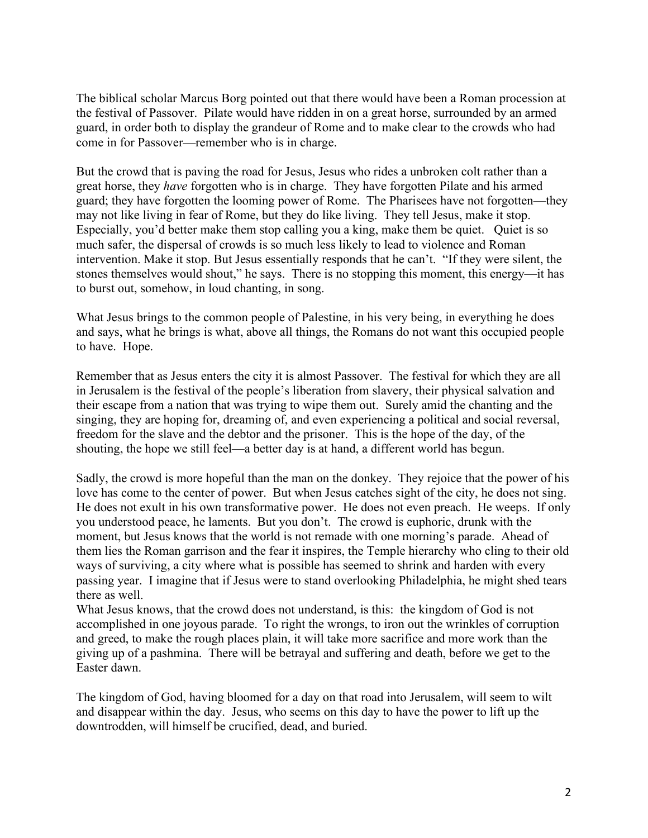The biblical scholar Marcus Borg pointed out that there would have been a Roman procession at the festival of Passover. Pilate would have ridden in on a great horse, surrounded by an armed guard, in order both to display the grandeur of Rome and to make clear to the crowds who had come in for Passover—remember who is in charge.

But the crowd that is paving the road for Jesus, Jesus who rides a unbroken colt rather than a great horse, they *have* forgotten who is in charge. They have forgotten Pilate and his armed guard; they have forgotten the looming power of Rome. The Pharisees have not forgotten—they may not like living in fear of Rome, but they do like living. They tell Jesus, make it stop. Especially, you'd better make them stop calling you a king, make them be quiet. Quiet is so much safer, the dispersal of crowds is so much less likely to lead to violence and Roman intervention. Make it stop. But Jesus essentially responds that he can't. "If they were silent, the stones themselves would shout," he says. There is no stopping this moment, this energy—it has to burst out, somehow, in loud chanting, in song.

What Jesus brings to the common people of Palestine, in his very being, in everything he does and says, what he brings is what, above all things, the Romans do not want this occupied people to have. Hope.

Remember that as Jesus enters the city it is almost Passover. The festival for which they are all in Jerusalem is the festival of the people's liberation from slavery, their physical salvation and their escape from a nation that was trying to wipe them out. Surely amid the chanting and the singing, they are hoping for, dreaming of, and even experiencing a political and social reversal, freedom for the slave and the debtor and the prisoner. This is the hope of the day, of the shouting, the hope we still feel—a better day is at hand, a different world has begun.

Sadly, the crowd is more hopeful than the man on the donkey. They rejoice that the power of his love has come to the center of power. But when Jesus catches sight of the city, he does not sing. He does not exult in his own transformative power. He does not even preach. He weeps. If only you understood peace, he laments. But you don't. The crowd is euphoric, drunk with the moment, but Jesus knows that the world is not remade with one morning's parade. Ahead of them lies the Roman garrison and the fear it inspires, the Temple hierarchy who cling to their old ways of surviving, a city where what is possible has seemed to shrink and harden with every passing year. I imagine that if Jesus were to stand overlooking Philadelphia, he might shed tears there as well.

What Jesus knows, that the crowd does not understand, is this: the kingdom of God is not accomplished in one joyous parade. To right the wrongs, to iron out the wrinkles of corruption and greed, to make the rough places plain, it will take more sacrifice and more work than the giving up of a pashmina. There will be betrayal and suffering and death, before we get to the Easter dawn.

The kingdom of God, having bloomed for a day on that road into Jerusalem, will seem to wilt and disappear within the day. Jesus, who seems on this day to have the power to lift up the downtrodden, will himself be crucified, dead, and buried.